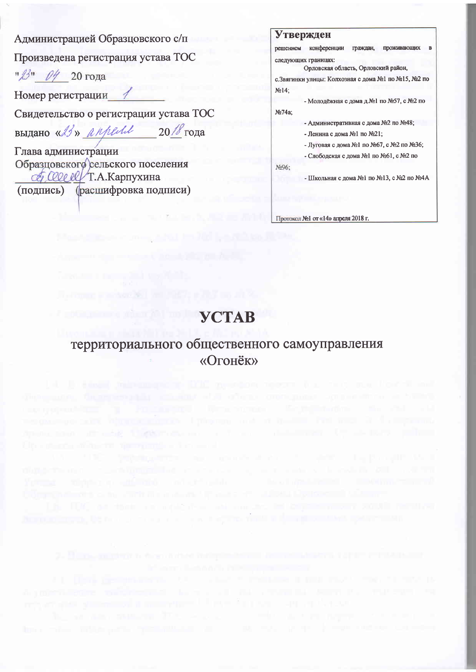Администрацией Образцовского с/п

Произведена регистрация устава ТОС

" 13" 04 20 года

Номер регистрации

Свидетельство о регистрации устава ТОС

BLIJAHO «23» appeal  $20$  /  $\sqrt{8}$  года

Глава администрации Образцовского сельского поселения COLLECT.A. Карпухина (подпись) (расшифровка подписи)

| Утвержден |
|-----------|
|-----------|

решением конференции граждан, проживающих следующих границах:

Орловская область, Орловский район.

с. Звягинки улицы: Колхозная с дома №1 по №15, №2 по  $N<sub>2</sub>14$ ;

- Молодёжная с дома д.№1 по №57, с №2 по

No.74a;

- Административная с дома №2 по №48;

- Ленина с дома №1 по №21;

- Луговая с дома №1 по №67, с №2 по №36;

- Слободская с дома №1 по №61, с №2 по

No96:

- Школьная с дома №1 по №13, с №2 по №4А

Протокол №1 от «14» апреля 2018 г.

# **YCTAB**

### территориального общественного самоуправления «Огонёк»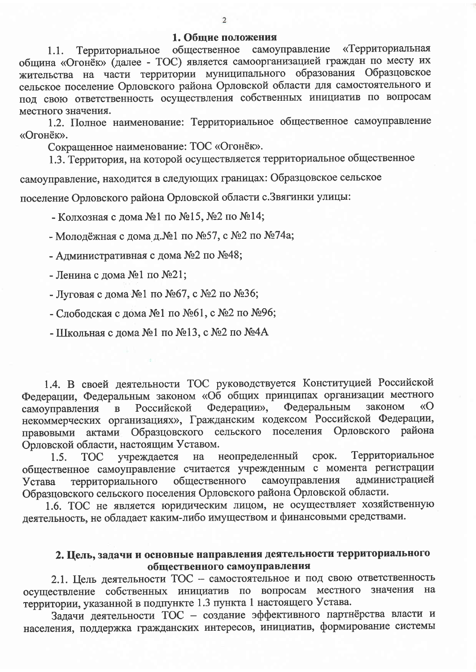#### 1. Общие положения

общественное самоуправление «Территориальная Территориальное  $1.1.$ община «Огонёк» (далее - ТОС) является самоорганизацией граждан по месту их жительства на части территории муниципального образования Образцовское сельское поселение Орловского района Орловской области для самостоятельного и под свою ответственность осуществления собственных инициатив по вопросам местного значения.

1.2. Полное наименование: Территориальное общественное самоуправление «Огонёк».

Сокращенное наименование: ТОС «Огонёк».

1.3. Территория, на которой осуществляется территориальное общественное самоуправление, находится в следующих границах: Образцовское сельское поселение Орловского района Орловской области с. Звягинки улицы:

- Колхозная с дома №1 по №15, №2 по №14;

- Молодёжная с дома д.№1 по №57, с №2 по №74а;

- Административная с дома №2 по №48;

- Ленина с дома №1 по №21;

- Луговая с дома №1 по №67, с №2 по №36;

- Слободская с дома №1 по №61, с №2 по №96;

- Школьная с дома №1 по №13, с №2 по №4А

1.4. В своей деятельности ТОС руководствуется Конституцией Российской Федерации, Федеральным законом «Об общих принципах организации местного Федерации», Российской Федеральным законом  $\langle \langle \mathbf{O} \rangle$ самоуправления  $\mathbf{B}$ некоммерческих организациях», Гражданским кодексом Российской Федерации, правовыми актами Образцовского сельского поселения Орловского района Орловской области, настоящим Уставом.

Территориальное учреждается на неопределенный срок.  $1.5.$ TOC общественное самоуправление считается учрежденным с момента регистрации самоуправления администрацией общественного территориального Устава Образцовского сельского поселения Орловского района Орловской области.

1.6. ТОС не является юридическим лицом, не осуществляет хозяйственную деятельность, не обладает каким-либо имуществом и финансовыми средствами.

### 2. Цель, задачи и основные направления деятельности территориального общественного самоуправления

2.1. Цель деятельности ТОС - самостоятельное и под свою ответственность осуществление собственных инициатив по вопросам местного значения на территории, указанной в подпункте 1.3 пункта 1 настоящего Устава.

Задачи деятельности ТОС - создание эффективного партнёрства власти и населения, поддержка гражданских интересов, инициатив, формирование системы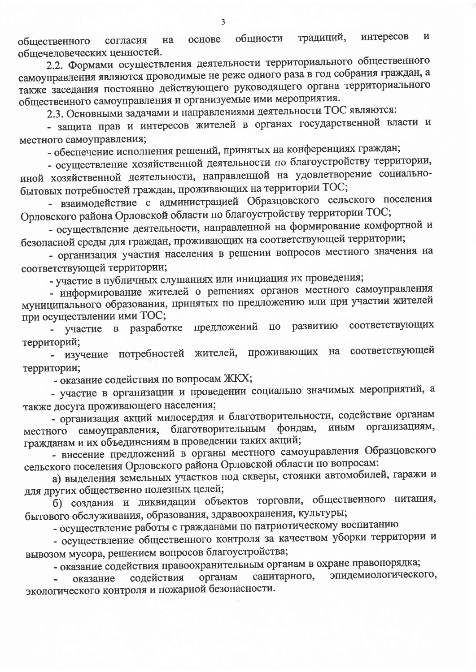интересов И традиций, общности основе на согласия обшественного общечеловеческих ценностей.

2.2. Формами осуществления деятельности территориального общественного самоуправления являются проводимые не реже одного раза в год собрания граждан, а также заседания постоянно действующего руководящего органа территориального общественного самоуправления и организуемые ими мероприятия.

2.3. Основными задачами и направлениями деятельности ТОС являются:

- защита прав и интересов жителей в органах государственной власти и местного самоуправления;

- обеспечение исполнения решений, принятых на конференциях граждан;

- осуществление хозяйственной деятельности по благоустройству территории, иной хозяйственной деятельности, направленной на удовлетворение социальнобытовых потребностей граждан, проживающих на территории ТОС;

- взаимодействие с администрацией Образцовского сельского поселения Орловского района Орловской области по благоустройству территории ТОС;

- осуществление деятельности, направленной на формирование комфортной и безопасной среды для граждан, проживающих на соответствующей территории;

- организация участия населения в решении вопросов местного значения на соответствующей территории;

- участие в публичных слушаниях или инициация их проведения;

- информирование жителей о решениях органов местного самоуправления муниципального образования, принятых по предложению или при участии жителей при осуществлении ими ТОС;

соответствующих предложений  $\Pi{\bf 0}$ развитию в разработке участие территорий;

- изучение потребностей жителей, проживающих на соответствующей территории;

- оказание содействия по вопросам ЖКХ;

- участие в организации и проведении социально значимых мероприятий, а также досуга проживающего населения;

- организация акций милосердия и благотворительности, содействие органам самоуправления, благотворительным фондам, иным организациям, местного гражданам и их объединениям в проведении таких акций;

- внесение предложений в органы местного самоуправления Образцовского сельского поселения Орловского района Орловской области по вопросам:

а) выделения земельных участков под скверы, стоянки автомобилей, гаражи и для других общественно полезных целей;

б) создания и ликвидации объектов торговли, общественного питания, бытового обслуживания, образования, здравоохранения, культуры;

- осуществление работы с гражданами по патриотическому воспитанию

- осуществление общественного контроля за качеством уборки территории и вывозом мусора, решением вопросов благоустройства;

- оказание содействия правоохранительным органам в охране правопорядка;

эпидемиологического, органам санитарного, содействия оказание экологического контроля и пожарной безопасности.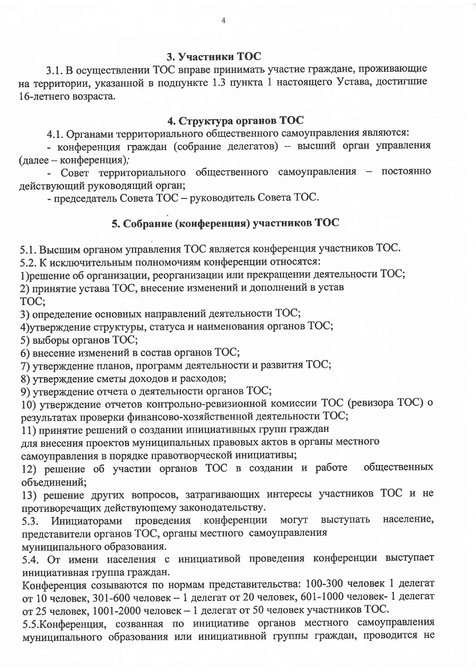#### 3. Участники ТОС

3.1. В осуществлении ТОС вправе принимать участие граждане, проживающие на территории, указанной в подпункте 1.3 пункта 1 настоящего Устава, достигшие 16-летнего возраста.

#### 4. Структура органов ТОС

4.1. Органами территориального общественного самоуправления являются:

- конференция граждан (собрание делегатов) - высший орган управления (далее - конференция);

- Совет территориального общественного самоуправления - постоянно действующий руководящий орган;

- председатель Совета ТОС - руководитель Совета ТОС.

## 5. Собрание (конференция) участников ТОС

5.1. Высшим органом управления ТОС является конференция участников ТОС.

5.2. К исключительным полномочиям конференции относятся:

1) решение об организации, реорганизации или прекращении деятельности ТОС;

2) принятие устава ТОС, внесение изменений и дополнений в устав TOC;

3) определение основных направлений деятельности ТОС;

4) утверждение структуры, статуса и наименования органов ТОС;

5) выборы органов ТОС;

6) внесение изменений в состав органов ТОС;

7) утверждение планов, программ деятельности и развития ТОС;

8) утверждение сметы доходов и расходов;

9) утверждение отчета о деятельности органов ТОС;

10) утверждение отчетов контрольно-ревизионной комиссии ТОС (ревизора ТОС) о результатах проверки финансово-хозяйственной деятельности ТОС;

11) принятие решений о создании инициативных групп граждан

для внесения проектов муниципальных правовых актов в органы местного

самоуправления в порядке правотворческой инициативы;

12) решение об участии органов ТОС в создании и работе общественных объединений;

13) решение других вопросов, затрагивающих интересы участников ТОС и не противоречащих действующему законодательству.

Инициаторами проведения конференции выступать могут население,  $5.3.$ представители органов ТОС, органы местного самоуправления

муниципального образования.

5.4. От имени населения с инициативой проведения конференции выступает инициативная группа граждан.

Конференция созываются по нормам представительства: 100-300 человек 1 делегат от 10 человек, 301-600 человек - 1 делегат от 20 человек, 601-1000 человек- 1 делегат от 25 человек, 1001-2000 человек - 1 делегат от 50 человек участников ТОС.

5.5. Конференция, созванная по инициативе органов местного самоуправления муниципального образования или инициативной группы граждан, проводится не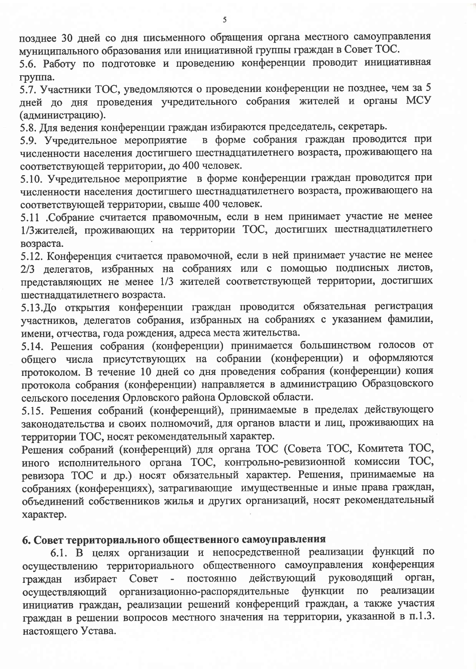позднее 30 дней со дня письменного обращения органа местного самоуправления муниципального образования или инициативной группы граждан в Совет ТОС.

5.6. Работу по подготовке и проведению конференции проводит инициативная группа.

5.7. Участники ТОС, уведомляются о проведении конференции не позднее, чем за 5 дней до дня проведения учредительного собрания жителей и органы МСУ (администрацию).

5.8. Для ведения конференции граждан избираются председатель, секретарь.

в форме собрания граждан проводится при 5.9. Учредительное мероприятие численности населения достигшего шестнадцатилетнего возраста, проживающего на соответствующей территории, до 400 человек.

5.10. Учредительное мероприятие в форме конференции граждан проводится при численности населения достигшего шестнадцатилетнего возраста, проживающего на соответствующей территории, свыше 400 человек.

5.11 .Собрание считается правомочным, если в нем принимает участие не менее 1/3 жителей, проживающих на территории ТОС, достигших шестнадцатилетнего возраста.

5.12. Конференция считается правомочной, если в ней принимает участие не менее 2/3 делегатов, избранных на собраниях или с помощью подписных листов, представляющих не менее 1/3 жителей соответствующей территории, достигших шестналиатилетнего возраста.

5.13.До открытия конференции граждан проводится обязательная регистрация участников, делегатов собрания, избранных на собраниях с указанием фамилии, имени, отчества, года рождения, адреса места жительства.

5.14. Решения собрания (конференции) принимается большинством голосов от общего числа присутствующих на собрании (конференции) и оформляются протоколом. В течение 10 дней со дня проведения собрания (конференции) копия протокола собрания (конференции) направляется в администрацию Образцовского сельского поселения Орловского района Орловской области.

5.15. Решения собраний (конференций), принимаемые в пределах действующего законодательства и своих полномочий, для органов власти и лиц, проживающих на территории ТОС, носят рекомендательный характер.

Решения собраний (конференций) для органа ТОС (Совета ТОС, Комитета ТОС, иного исполнительного органа ТОС, контрольно-ревизионной комиссии ТОС, ревизора ТОС и др.) носят обязательный характер. Решения, принимаемые на собраниях (конференциях), затрагивающие имущественные и иные права граждан, объединений собственников жилья и других организаций, носят рекомендательный характер.

### 6. Совет территориального общественного самоуправления

6.1. В целях организации и непосредственной реализации функций по осуществлению территориального общественного самоуправления конференция руководящий орган, действующий Совет  $\sim$   $$ постоянно избирает граждан осуществляющий организационно-распорядительные функции  $\overline{a}$ реализации инициатив граждан, реализации решений конференций граждан, а также участия граждан в решении вопросов местного значения на территории, указанной в п.1.3. настоящего Устава.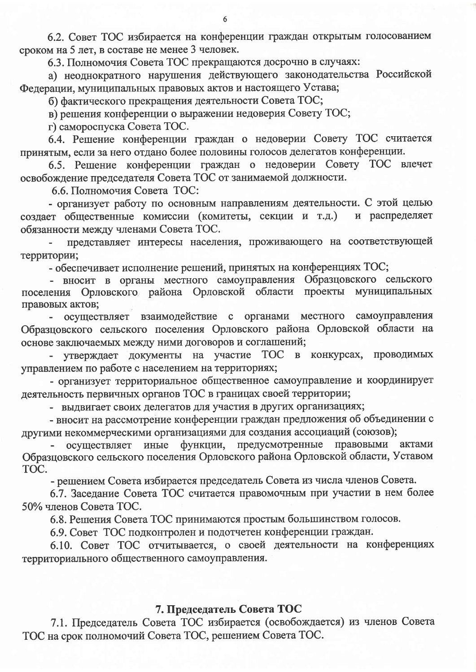6.2. Совет ТОС избирается на конференции граждан открытым голосованием сроком на 5 лет, в составе не менее 3 человек.

6.3. Полномочия Совета ТОС прекращаются досрочно в случаях:

а) неоднократного нарушения действующего законодательства Российской Федерации, муниципальных правовых актов и настоящего Устава;

б) фактического прекращения деятельности Совета ТОС;

в) решения конференции о выражении недоверия Совету ТОС;

г) самороспуска Совета ТОС.

6.4. Решение конференции граждан о недоверии Совету ТОС считается принятым, если за него отдано более половины голосов делегатов конференции.

6.5. Решение конференции граждан о недоверии Совету ТОС влечет освобождение председателя Совета ТОС от занимаемой должности.

6.6. Полномочия Совета ТОС:

- организует работу по основным направлениям деятельности. С этой целью создает общественные комиссии (комитеты, секции и т.д.) и распределяет обязанности между членами Совета ТОС.

представляет интересы населения, проживающего на соответствующей территории;

- обеспечивает исполнение решений, принятых на конференциях ТОС;

- вносит в органы местного самоуправления Образцовского сельского поселения Орловского района Орловской области проекты муниципальных правовых актов;

осуществляет взаимодействие с органами местного самоуправления Образцовского сельского поселения Орловского района Орловской области на основе заключаемых между ними договоров и соглашений;

утверждает документы на участие ТОС в конкурсах, проводимых управлением по работе с населением на территориях;

- организует территориальное общественное самоуправление и координирует деятельность первичных органов ТОС в границах своей территории;

- выдвигает своих делегатов для участия в других организациях;

- вносит на рассмотрение конференции граждан предложения об объединении с другими некоммерческими организациями для создания ассоциаций (союзов);

функции, предусмотренные правовыми актами осуществляет иные Образцовского сельского поселения Орловского района Орловской области, Уставом TOC.

- решением Совета избирается председатель Совета из числа членов Совета.

6.7. Заседание Совета ТОС считается правомочным при участии в нем более 50% членов Совета ТОС.

6.8. Решения Совета ТОС принимаются простым большинством голосов.

6.9. Совет ТОС подконтролен и подотчетен конференции граждан.

6.10. Совет ТОС отчитывается, о своей деятельности на конференциях территориального общественного самоуправления.

#### 7. Председатель Совета ТОС

7.1. Председатель Совета ТОС избирается (освобождается) из членов Совета ТОС на срок полномочий Совета ТОС, решением Совета ТОС.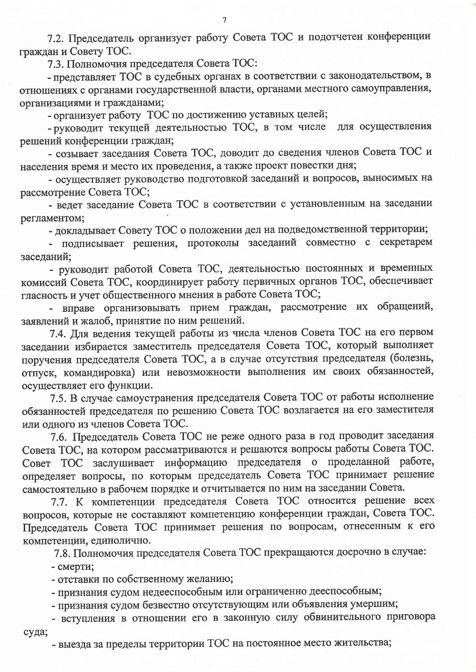7.2. Председатель организует работу Совета ТОС и подотчетен конференции граждан и Совету ТОС.

7.3. Полномочия председателя Совета ТОС:

- представляет ТОС в судебных органах в соответствии с законодательством, в отношениях с органами государственной власти, органами местного самоуправления, организациями и гражданами;

- организует работу ТОС по достижению уставных целей;

- руководит текущей деятельностью ТОС, в том числе для осуществления решений конференции граждан;

- созывает заседания Совета ТОС, доводит до сведения членов Совета ТОС и населения время и место их проведения, а также проект повестки дня;

- осуществляет руководство подготовкой заседаний и вопросов, выносимых на рассмотрение Совета ТОС;

- ведет заседание Совета ТОС в соответствии с установленным на заседании регламентом;

- докладывает Совету ТОС о положении дел на подведомственной территории;

- подписывает решения, протоколы заседаний совместно с секретарем заседаний;

- руководит работой Совета ТОС, деятельностью постоянных и временных комиссий Совета ТОС, координирует работу первичных органов ТОС, обеспечивает гласность и учет общественного мнения в работе Совета ТОС;

- вправе организовывать прием граждан, рассмотрение их обращений, заявлений и жалоб, принятие по ним решений.

7.4. Для ведения текущей работы из числа членов Совета ТОС на его первом заседании избирается заместитель председателя Совета ТОС, который выполняет поручения председателя Совета ТОС, а в случае отсутствия председателя (болезнь, отпуск, командировка) или невозможности выполнения им своих обязанностей, осуществляет его функции.

7.5. В случае самоустранения председателя Совета ТОС от работы исполнение обязанностей председателя по решению Совета ТОС возлагается на его заместителя или одного из членов Совета ТОС.

7.6. Председатель Совета ТОС не реже одного раза в год проводит заседания Совета ТОС, на котором рассматриваются и решаются вопросы работы Совета ТОС. Совет ТОС заслушивает информацию председателя о проделанной работе, определяет вопросы, по которым председатель Совета ТОС принимает решение самостоятельно в рабочем порядке и отчитывается по ним на заседании Совета.

7.7. К компетенции председателя Совета ТОС относится решение всех вопросов, которые не составляют компетенцию конференции граждан, Совета ТОС. Председатель Совета ТОС принимает решения по вопросам, отнесенным к его компетенции, единолично.

7.8. Полномочия председателя Совета ТОС прекращаются досрочно в случае:

- смерти;

- отставки по собственному желанию;

- признания судом недееспособным или ограниченно дееспособным;

- признания судом безвестно отсутствующим или объявления умершим;

- вступления в отношении его в законную силу обвинительного приговора суда;

- выезда за пределы территории ТОС на постоянное место жительства;